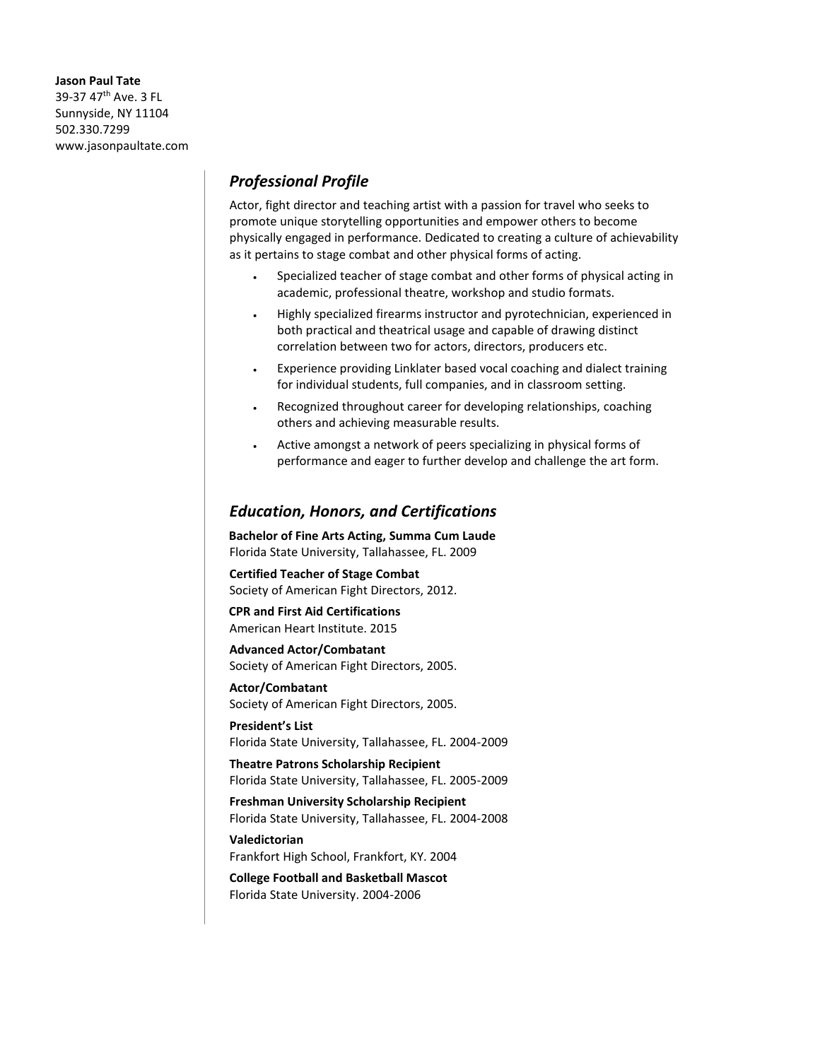**Jason Paul Tate** 39-37 47th Ave. 3 FL Sunnyside, NY 11104 502.330.7299 www.jasonpaultate.com

## *Professional Profile*

Actor, fight director and teaching artist with a passion for travel who seeks to promote unique storytelling opportunities and empower others to become physically engaged in performance. Dedicated to creating a culture of achievability as it pertains to stage combat and other physical forms of acting.

- Specialized teacher of stage combat and other forms of physical acting in academic, professional theatre, workshop and studio formats.
- Highly specialized firearms instructor and pyrotechnician, experienced in both practical and theatrical usage and capable of drawing distinct correlation between two for actors, directors, producers etc.
- Experience providing Linklater based vocal coaching and dialect training for individual students, full companies, and in classroom setting.
- Recognized throughout career for developing relationships, coaching others and achieving measurable results.
- Active amongst a network of peers specializing in physical forms of performance and eager to further develop and challenge the art form.

## *Education, Honors, and Certifications*

**Bachelor of Fine Arts Acting, Summa Cum Laude** Florida State University, Tallahassee, FL. 2009

**Certified Teacher of Stage Combat** Society of American Fight Directors, 2012.

**CPR and First Aid Certifications** American Heart Institute. 2015

**Advanced Actor/Combatant** Society of American Fight Directors, 2005.

**Actor/Combatant** Society of American Fight Directors, 2005.

**President's List** Florida State University, Tallahassee, FL. 2004-2009

**Theatre Patrons Scholarship Recipient** Florida State University, Tallahassee, FL. 2005-2009

**Freshman University Scholarship Recipient** Florida State University, Tallahassee, FL. 2004-2008

**Valedictorian** Frankfort High School, Frankfort, KY. 2004

**College Football and Basketball Mascot** Florida State University. 2004-2006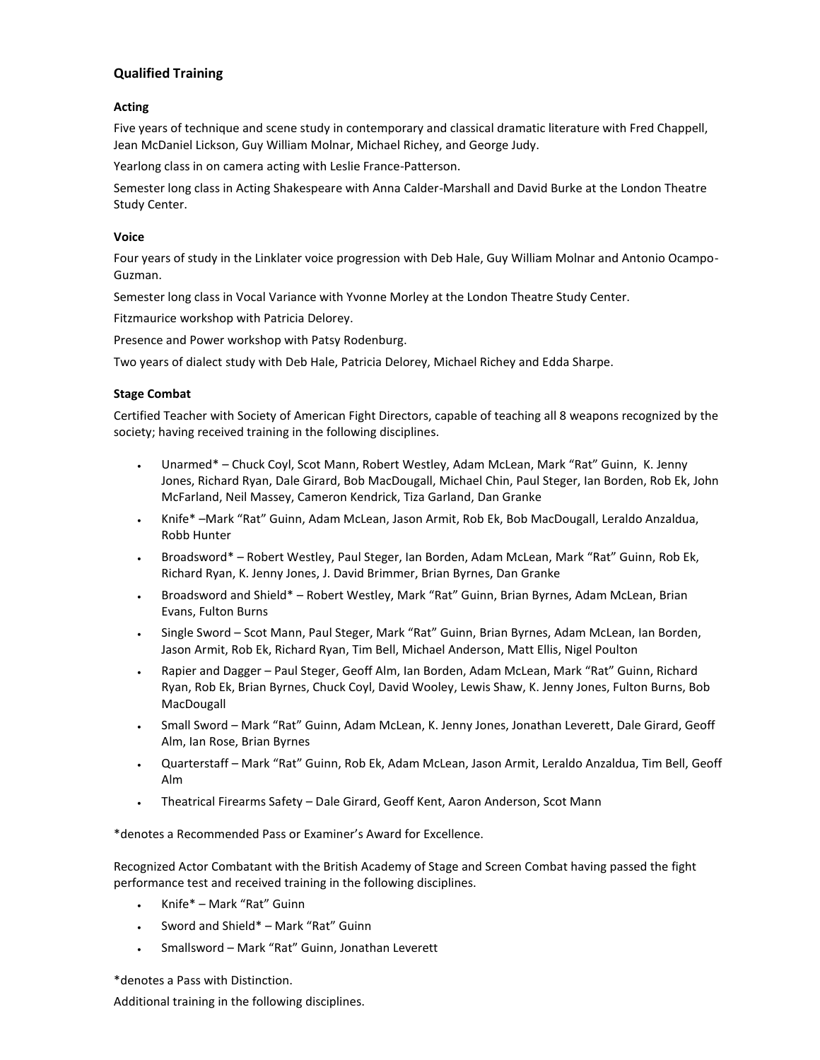## **Qualified Training**

### **Acting**

Five years of technique and scene study in contemporary and classical dramatic literature with Fred Chappell, Jean McDaniel Lickson, Guy William Molnar, Michael Richey, and George Judy.

Yearlong class in on camera acting with Leslie France-Patterson.

Semester long class in Acting Shakespeare with Anna Calder-Marshall and David Burke at the London Theatre Study Center.

### **Voice**

Four years of study in the Linklater voice progression with Deb Hale, Guy William Molnar and Antonio Ocampo-Guzman.

Semester long class in Vocal Variance with Yvonne Morley at the London Theatre Study Center.

Fitzmaurice workshop with Patricia Delorey.

Presence and Power workshop with Patsy Rodenburg.

Two years of dialect study with Deb Hale, Patricia Delorey, Michael Richey and Edda Sharpe.

## **Stage Combat**

Certified Teacher with Society of American Fight Directors, capable of teaching all 8 weapons recognized by the society; having received training in the following disciplines.

- Unarmed\* Chuck Coyl, Scot Mann, Robert Westley, Adam McLean, Mark "Rat" Guinn, K. Jenny Jones, Richard Ryan, Dale Girard, Bob MacDougall, Michael Chin, Paul Steger, Ian Borden, Rob Ek, John McFarland, Neil Massey, Cameron Kendrick, Tiza Garland, Dan Granke
- Knife\* –Mark "Rat" Guinn, Adam McLean, Jason Armit, Rob Ek, Bob MacDougall, Leraldo Anzaldua, Robb Hunter
- Broadsword\* Robert Westley, Paul Steger, Ian Borden, Adam McLean, Mark "Rat" Guinn, Rob Ek, Richard Ryan, K. Jenny Jones, J. David Brimmer, Brian Byrnes, Dan Granke
- Broadsword and Shield\* Robert Westley, Mark "Rat" Guinn, Brian Byrnes, Adam McLean, Brian Evans, Fulton Burns
- Single Sword Scot Mann, Paul Steger, Mark "Rat" Guinn, Brian Byrnes, Adam McLean, Ian Borden, Jason Armit, Rob Ek, Richard Ryan, Tim Bell, Michael Anderson, Matt Ellis, Nigel Poulton
- Rapier and Dagger Paul Steger, Geoff Alm, Ian Borden, Adam McLean, Mark "Rat" Guinn, Richard Ryan, Rob Ek, Brian Byrnes, Chuck Coyl, David Wooley, Lewis Shaw, K. Jenny Jones, Fulton Burns, Bob MacDougall
- Small Sword Mark "Rat" Guinn, Adam McLean, K. Jenny Jones, Jonathan Leverett, Dale Girard, Geoff Alm, Ian Rose, Brian Byrnes
- Quarterstaff Mark "Rat" Guinn, Rob Ek, Adam McLean, Jason Armit, Leraldo Anzaldua, Tim Bell, Geoff Alm
- Theatrical Firearms Safety Dale Girard, Geoff Kent, Aaron Anderson, Scot Mann

\*denotes a Recommended Pass or Examiner's Award for Excellence.

Recognized Actor Combatant with the British Academy of Stage and Screen Combat having passed the fight performance test and received training in the following disciplines.

- Knife\* Mark "Rat" Guinn
- Sword and Shield\* Mark "Rat" Guinn
- Smallsword Mark "Rat" Guinn, Jonathan Leverett

\*denotes a Pass with Distinction.

Additional training in the following disciplines.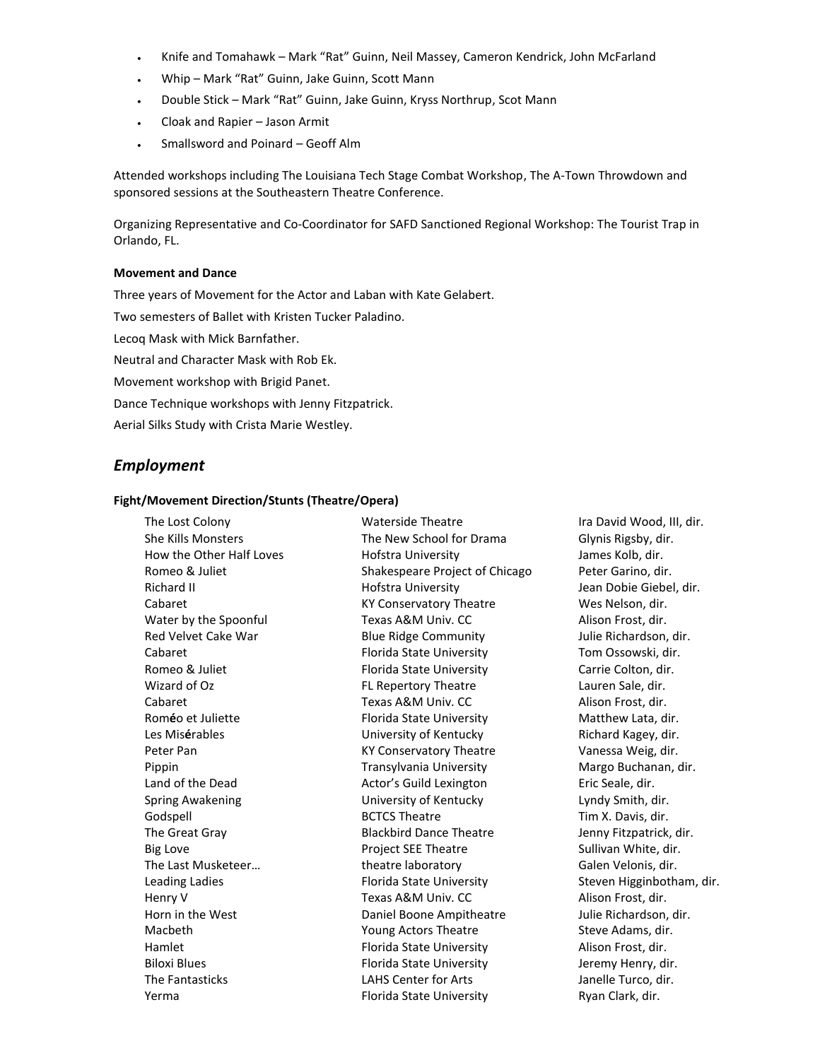- Knife and Tomahawk Mark "Rat" Guinn, Neil Massey, Cameron Kendrick, John McFarland
- Whip Mark "Rat" Guinn, Jake Guinn, Scott Mann
- Double Stick Mark "Rat" Guinn, Jake Guinn, Kryss Northrup, Scot Mann
- Cloak and Rapier Jason Armit
- Smallsword and Poinard Geoff Alm

Attended workshops including The Louisiana Tech Stage Combat Workshop, The A-Town Throwdown and sponsored sessions at the Southeastern Theatre Conference.

Organizing Representative and Co-Coordinator for SAFD Sanctioned Regional Workshop: The Tourist Trap in Orlando, FL.

#### **Movement and Dance**

Three years of Movement for the Actor and Laban with Kate Gelabert.

Two semesters of Ballet with Kristen Tucker Paladino.

Lecoq Mask with Mick Barnfather.

Neutral and Character Mask with Rob Ek.

Movement workshop with Brigid Panet.

Dance Technique workshops with Jenny Fitzpatrick.

Aerial Silks Study with Crista Marie Westley.

## *Employment*

#### **Fight/Movement Direction/Stunts (Theatre/Opera)**

The Lost Colony **State Colony** Waterside Theatre **Ira David Wood, III, dir.** She Kills Monsters The New School for Drama Glynis Rigsby, dir. How the Other Half Loves **Hofstra University Hotal Communist Communist Communist** James Kolb, dir. Romeo & Juliet Shakespeare Project of Chicago Peter Garino, dir. Richard II **Hofstra University Hofstra University** Jean Dobie Giebel, dir. Cabaret KY Conservatory Theatre Wes Nelson, dir. Water by the Spoonful Texas A&M Univ. CC Alison Frost, dir. Red Velvet Cake War **Blue Ridge Community** Figure Richardson, dir. Cabaret Florida State University Tom Ossowski, dir. Romeo & Juliet **Florida State University** Carrie Colton, dir. Wizard of Oz **FL Repertory Theatre Repertory Theatre** Lauren Sale, dir. Cabaret **Texas A&M Univ. CC** Alison Frost, dir. Roméo et Juliette **Florida State University** Matthew Lata, dir. Les Mis**é**rables University of Kentucky Richard Kagey, dir. Peter Pan North Conservatory Theatre Nanessa Weig, dir. Pippin Transylvania University Margo Buchanan, dir. Land of the Dead **Actor's Guild Lexington** Eric Seale, dir. Spring Awakening The Control Christophersity of Kentucky Theory Lyndy Smith, dir. Godspell **BCTCS Theatre Tim X. Davis, dir.** And BCTCS Theatre **Tim X. Davis, dir.** The Great Gray **Blackbird Dance Theatre Jenny Fitzpatrick, dir.** Jenny Fitzpatrick, dir. Big Love **Project SEE Theatre** Sullivan White, dir. The Last Musketeer... The actribution of theatre laboratory and the Galen Velonis, dir. Leading Ladies **Florida State University** Steven Higginbotham, dir. Henry V **Texas A&M Univ. CC** Alison Frost, dir. Horn in the West **Example 20** Connected Boone Ampitheatre **Manual American** Julie Richardson, dir. Macbeth **Macbeth Young Actors Theatre** Steve Adams, dir. Hamlet **Florida State University Alison Frost, dir.** And Hamlet **Alison** Frost, dir. Biloxi Blues **Florida State University Florida State University Jeremy Henry, dir.** The Fantasticks LAHS Center for Arts Janelle Turco, dir. Yerma Florida State University Ryan Clark, dir.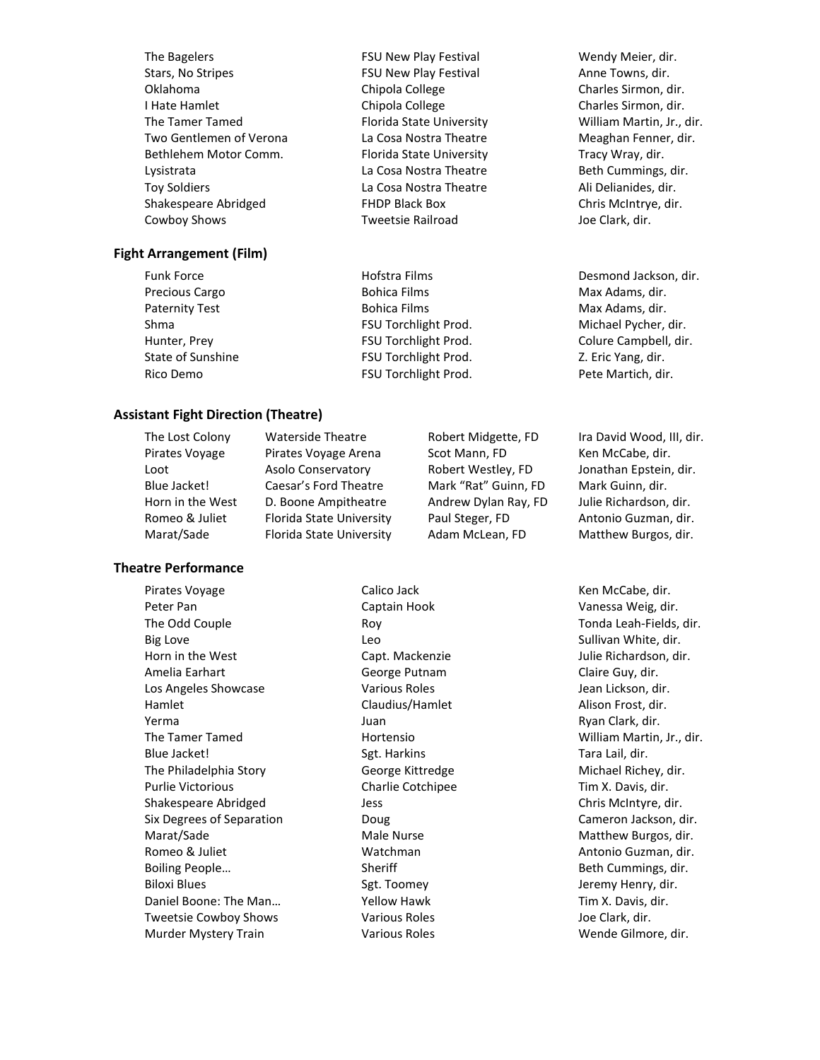The Bagelers **FIGU New Play Festival** Festival Wendy Meier, dir. Stars, No Stripes FSU New Play Festival Anne Towns, dir. Oklahoma Chipola College Charles Sirmon, dir. I Hate Hamlet Chipola College Charles Sirmon, dir. The Tamer Tamed **Florida State University** Milliam Martin, Jr., dir. Two Gentlemen of Verona La Cosa Nostra Theatre Meaghan Fenner, dir. Bethlehem Motor Comm. Florida State University Tracy Wray, dir. Lysistrata La Cosa Nostra Theatre Beth Cummings, dir. Toy Soldiers La Cosa Nostra Theatre Ali Delianides, dir. Shakespeare Abridged **FHDP Black Box** Chris McIntrye, dir. Cowboy Shows Tweetsie Railroad Joe Clark, dir.

#### **Fight Arrangement (Film)**

Precious Cargo **Bohica Films** Bohica Films Max Adams, dir. Paternity Test **Bohica Films** Bohica Films Max Adams, dir. Shma **FSU Torchlight Prod.** Michael Pycher, dir. 2014 State of Sunshine FSU Torchlight Prod. Z. Eric Yang, dir. Rico Demo **FSU Torchlight Prod.** Pete Martich, dir.

#### **Assistant Fight Direction (Theatre)**

# Horn in the West D. Boone Ampitheatre Andrew Dylan Ray, FD Julie Richardson, dir. Romeo & Juliet Florida State University Paul Steger, FD Antonio Guzman, dir. Marat/Sade Florida State University Adam McLean, FD Matthew Burgos, dir.

#### **Theatre Performance**

Pirates Voyage Calico Jack Calico Jack Ken McCabe, dir. Peter Pan Captain Hook Vanessa Weig, dir. The Odd Couple **The Odd Couple Roy Couple Roy Couple Roy** Tonda Leah-Fields, dir. Big Love **Sullivan White, dir.** Controller Leo Sullivan White, dir. Sullivan White, dir. Horn in the West **Capt. Mackenzie** Capt. Mackenzie Julie Richardson, dir. Amelia Earhart George Putnam Claire Guy, dir. Los Angeles Showcase **Various Roles** Jean Lickson, dir. Hamlet Claudius/Hamlet Alison Frost, dir. Yerma Juan Juan Clark, dir. 2007 - Juan Amerika Komunisati (Regno Ryan Clark, dir. The Tamer Tamed Hortensio William Martin, Jr., dir. Blue Jacket! Sgt. Harkins Tara Lail, dir. Sgt. Harkins Tara Lail, dir. The Philadelphia Story **George Kittredge** Michael Richey, dir. Purlie Victorious Charlie Cotchipee Tim X. Davis, dir. Shakespeare Abridged Jess Chris McIntyre, dir. Six Degrees of Separation **Cameron Doug** Cameron Jackson, dir. Marat/Sade Male Nurse Matthew Burgos, dir. Romeo & Juliet **Antonio Guzman, dir.** Watchman Antonio Guzman, dir. Boiling People… Sheriff Sheriff Beth Cummings, dir. Biloxi Blues Sgt. Toomey States Biloxi Blues and States and States States States States States States Agency Henry, dir. Daniel Boone: The Man... The Manus Nellow Hawk The Manus Tim X. Davis, dir. Tweetsie Cowboy Shows **Various Roles** Various Roles Joe Clark, dir.

Pirates Voyage Pirates Voyage Arena Scot Mann, FD Ken McCabe, dir. Loot Asolo Conservatory Robert Westley, FD Jonathan Epstein, dir. Blue Jacket! Caesar's Ford Theatre Mark "Rat" Guinn, FD Mark Guinn, dir.

Funk Force Hofstra Films Desmond Jackson, dir. Hunter, Prey FSU Torchlight Prod. Colure Campbell, dir.

The Lost Colony Waterside Theatre Robert Midgette, FD Ira David Wood, III, dir.

Murder Mystery Train **Various Roles** Wende Gilmore, dir.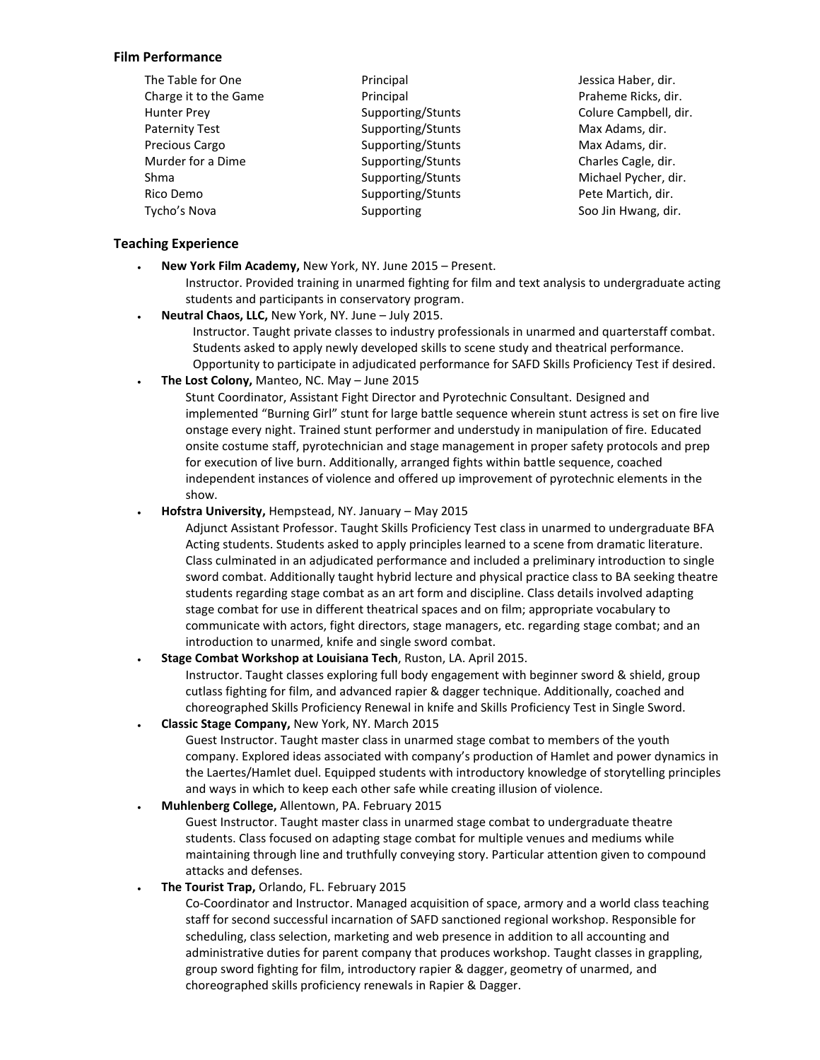#### **Film Performance**

| The Table for One     | Principal         | Jessica Haber, dir.   |
|-----------------------|-------------------|-----------------------|
| Charge it to the Game | Principal         | Praheme Ricks, dir.   |
| <b>Hunter Prey</b>    | Supporting/Stunts | Colure Campbell, dir. |
| <b>Paternity Test</b> | Supporting/Stunts | Max Adams, dir.       |
| Precious Cargo        | Supporting/Stunts | Max Adams, dir.       |
| Murder for a Dime     | Supporting/Stunts | Charles Cagle, dir.   |
| Shma                  | Supporting/Stunts | Michael Pycher, dir.  |
| Rico Demo             | Supporting/Stunts | Pete Martich, dir.    |
| Tycho's Nova          | Supporting        | Soo Jin Hwang, dir.   |

#### **Teaching Experience**

- **New York Film Academy,** New York, NY. June 2015 Present.
	- Instructor. Provided training in unarmed fighting for film and text analysis to undergraduate acting students and participants in conservatory program.
- **Neutral Chaos, LLC,** New York, NY. June July 2015.

Instructor. Taught private classes to industry professionals in unarmed and quarterstaff combat. Students asked to apply newly developed skills to scene study and theatrical performance. Opportunity to participate in adjudicated performance for SAFD Skills Proficiency Test if desired.

**The Lost Colony,** Manteo, NC. May – June 2015

Stunt Coordinator, Assistant Fight Director and Pyrotechnic Consultant. Designed and implemented "Burning Girl" stunt for large battle sequence wherein stunt actress is set on fire live onstage every night. Trained stunt performer and understudy in manipulation of fire. Educated onsite costume staff, pyrotechnician and stage management in proper safety protocols and prep for execution of live burn. Additionally, arranged fights within battle sequence, coached independent instances of violence and offered up improvement of pyrotechnic elements in the show.

**Hofstra University,** Hempstead, NY. January – May 2015

Adjunct Assistant Professor. Taught Skills Proficiency Test class in unarmed to undergraduate BFA Acting students. Students asked to apply principles learned to a scene from dramatic literature. Class culminated in an adjudicated performance and included a preliminary introduction to single sword combat. Additionally taught hybrid lecture and physical practice class to BA seeking theatre students regarding stage combat as an art form and discipline. Class details involved adapting stage combat for use in different theatrical spaces and on film; appropriate vocabulary to communicate with actors, fight directors, stage managers, etc. regarding stage combat; and an introduction to unarmed, knife and single sword combat.

#### **Stage Combat Workshop at Louisiana Tech**, Ruston, LA. April 2015.

Instructor. Taught classes exploring full body engagement with beginner sword & shield, group cutlass fighting for film, and advanced rapier & dagger technique. Additionally, coached and choreographed Skills Proficiency Renewal in knife and Skills Proficiency Test in Single Sword.

**Classic Stage Company,** New York, NY. March 2015

Guest Instructor. Taught master class in unarmed stage combat to members of the youth company. Explored ideas associated with company's production of Hamlet and power dynamics in the Laertes/Hamlet duel. Equipped students with introductory knowledge of storytelling principles and ways in which to keep each other safe while creating illusion of violence.

#### **Muhlenberg College,** Allentown, PA. February 2015

Guest Instructor. Taught master class in unarmed stage combat to undergraduate theatre students. Class focused on adapting stage combat for multiple venues and mediums while maintaining through line and truthfully conveying story. Particular attention given to compound attacks and defenses.

#### **The Tourist Trap,** Orlando, FL. February 2015

Co-Coordinator and Instructor. Managed acquisition of space, armory and a world class teaching staff for second successful incarnation of SAFD sanctioned regional workshop. Responsible for scheduling, class selection, marketing and web presence in addition to all accounting and administrative duties for parent company that produces workshop. Taught classes in grappling, group sword fighting for film, introductory rapier & dagger, geometry of unarmed, and choreographed skills proficiency renewals in Rapier & Dagger.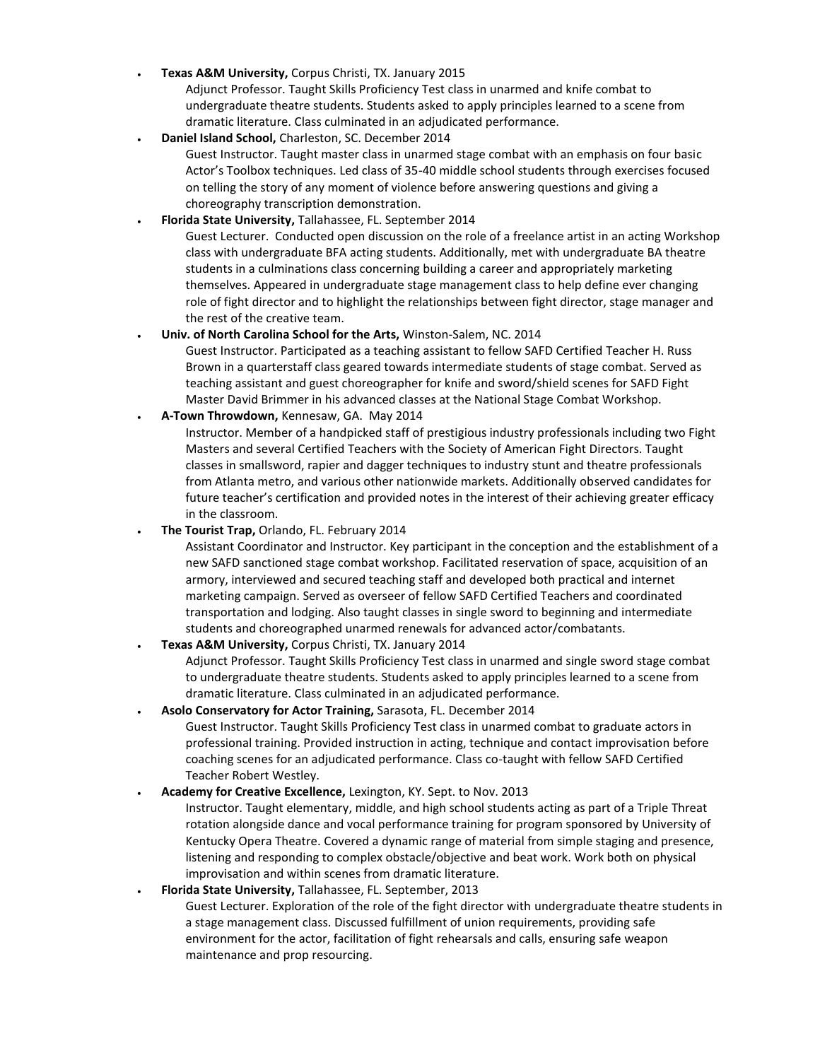**Texas A&M University,** Corpus Christi, TX. January 2015

Adjunct Professor. Taught Skills Proficiency Test class in unarmed and knife combat to undergraduate theatre students. Students asked to apply principles learned to a scene from dramatic literature. Class culminated in an adjudicated performance.

**Daniel Island School,** Charleston, SC. December 2014

Guest Instructor. Taught master class in unarmed stage combat with an emphasis on four basic Actor's Toolbox techniques. Led class of 35-40 middle school students through exercises focused on telling the story of any moment of violence before answering questions and giving a choreography transcription demonstration.

#### **Florida State University,** Tallahassee, FL. September 2014

Guest Lecturer. Conducted open discussion on the role of a freelance artist in an acting Workshop class with undergraduate BFA acting students. Additionally, met with undergraduate BA theatre students in a culminations class concerning building a career and appropriately marketing themselves. Appeared in undergraduate stage management class to help define ever changing role of fight director and to highlight the relationships between fight director, stage manager and the rest of the creative team.

#### **Univ. of North Carolina School for the Arts,** Winston-Salem, NC. 2014

Guest Instructor. Participated as a teaching assistant to fellow SAFD Certified Teacher H. Russ Brown in a quarterstaff class geared towards intermediate students of stage combat. Served as teaching assistant and guest choreographer for knife and sword/shield scenes for SAFD Fight Master David Brimmer in his advanced classes at the National Stage Combat Workshop.

**A-Town Throwdown,** Kennesaw, GA. May 2014

Instructor. Member of a handpicked staff of prestigious industry professionals including two Fight Masters and several Certified Teachers with the Society of American Fight Directors. Taught classes in smallsword, rapier and dagger techniques to industry stunt and theatre professionals from Atlanta metro, and various other nationwide markets. Additionally observed candidates for future teacher's certification and provided notes in the interest of their achieving greater efficacy in the classroom.

**The Tourist Trap,** Orlando, FL. February 2014

Assistant Coordinator and Instructor. Key participant in the conception and the establishment of a new SAFD sanctioned stage combat workshop. Facilitated reservation of space, acquisition of an armory, interviewed and secured teaching staff and developed both practical and internet marketing campaign. Served as overseer of fellow SAFD Certified Teachers and coordinated transportation and lodging. Also taught classes in single sword to beginning and intermediate students and choreographed unarmed renewals for advanced actor/combatants.

## **Texas A&M University,** Corpus Christi, TX. January 2014

Adjunct Professor. Taught Skills Proficiency Test class in unarmed and single sword stage combat to undergraduate theatre students. Students asked to apply principles learned to a scene from dramatic literature. Class culminated in an adjudicated performance.

#### **Asolo Conservatory for Actor Training,** Sarasota, FL. December 2014 Guest Instructor. Taught Skills Proficiency Test class in unarmed combat to graduate actors in professional training. Provided instruction in acting, technique and contact improvisation before coaching scenes for an adjudicated performance. Class co-taught with fellow SAFD Certified Teacher Robert Westley.

#### **Academy for Creative Excellence,** Lexington, KY. Sept. to Nov. 2013

Instructor. Taught elementary, middle, and high school students acting as part of a Triple Threat rotation alongside dance and vocal performance training for program sponsored by University of Kentucky Opera Theatre. Covered a dynamic range of material from simple staging and presence, listening and responding to complex obstacle/objective and beat work. Work both on physical improvisation and within scenes from dramatic literature.

#### **Florida State University,** Tallahassee, FL. September, 2013

Guest Lecturer. Exploration of the role of the fight director with undergraduate theatre students in a stage management class. Discussed fulfillment of union requirements, providing safe environment for the actor, facilitation of fight rehearsals and calls, ensuring safe weapon maintenance and prop resourcing.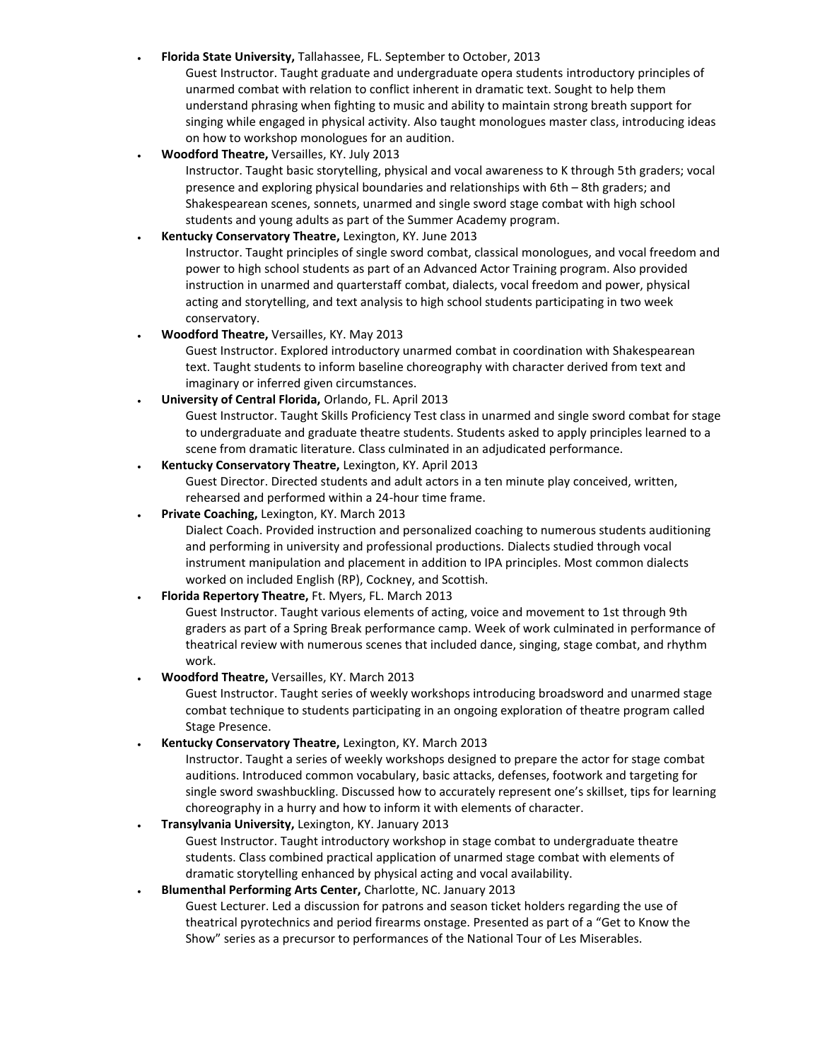#### **Florida State University,** Tallahassee, FL. September to October, 2013

Guest Instructor. Taught graduate and undergraduate opera students introductory principles of unarmed combat with relation to conflict inherent in dramatic text. Sought to help them understand phrasing when fighting to music and ability to maintain strong breath support for singing while engaged in physical activity. Also taught monologues master class, introducing ideas on how to workshop monologues for an audition.

**Woodford Theatre,** Versailles, KY. July 2013

Instructor. Taught basic storytelling, physical and vocal awareness to K through 5th graders; vocal presence and exploring physical boundaries and relationships with 6th – 8th graders; and Shakespearean scenes, sonnets, unarmed and single sword stage combat with high school students and young adults as part of the Summer Academy program.

#### **Kentucky Conservatory Theatre,** Lexington, KY. June 2013

Instructor. Taught principles of single sword combat, classical monologues, and vocal freedom and power to high school students as part of an Advanced Actor Training program. Also provided instruction in unarmed and quarterstaff combat, dialects, vocal freedom and power, physical acting and storytelling, and text analysis to high school students participating in two week conservatory.

#### **Woodford Theatre,** Versailles, KY. May 2013

Guest Instructor. Explored introductory unarmed combat in coordination with Shakespearean text. Taught students to inform baseline choreography with character derived from text and imaginary or inferred given circumstances.

#### **University of Central Florida,** Orlando, FL. April 2013

Guest Instructor. Taught Skills Proficiency Test class in unarmed and single sword combat for stage to undergraduate and graduate theatre students. Students asked to apply principles learned to a scene from dramatic literature. Class culminated in an adjudicated performance.

#### **Kentucky Conservatory Theatre,** Lexington, KY. April 2013

Guest Director. Directed students and adult actors in a ten minute play conceived, written, rehearsed and performed within a 24-hour time frame.

#### **Private Coaching,** Lexington, KY. March 2013

Dialect Coach. Provided instruction and personalized coaching to numerous students auditioning and performing in university and professional productions. Dialects studied through vocal instrument manipulation and placement in addition to IPA principles. Most common dialects worked on included English (RP), Cockney, and Scottish.

#### **Florida Repertory Theatre,** Ft. Myers, FL. March 2013

Guest Instructor. Taught various elements of acting, voice and movement to 1st through 9th graders as part of a Spring Break performance camp. Week of work culminated in performance of theatrical review with numerous scenes that included dance, singing, stage combat, and rhythm work.

**Woodford Theatre,** Versailles, KY. March 2013

Guest Instructor. Taught series of weekly workshops introducing broadsword and unarmed stage combat technique to students participating in an ongoing exploration of theatre program called Stage Presence.

**Kentucky Conservatory Theatre,** Lexington, KY. March 2013

Instructor. Taught a series of weekly workshops designed to prepare the actor for stage combat auditions. Introduced common vocabulary, basic attacks, defenses, footwork and targeting for single sword swashbuckling. Discussed how to accurately represent one's skillset, tips for learning choreography in a hurry and how to inform it with elements of character.

## **Transylvania University,** Lexington, KY. January 2013

Guest Instructor. Taught introductory workshop in stage combat to undergraduate theatre students. Class combined practical application of unarmed stage combat with elements of dramatic storytelling enhanced by physical acting and vocal availability.

#### **Blumenthal Performing Arts Center,** Charlotte, NC. January 2013

Guest Lecturer. Led a discussion for patrons and season ticket holders regarding the use of theatrical pyrotechnics and period firearms onstage. Presented as part of a "Get to Know the Show" series as a precursor to performances of the National Tour of Les Miserables.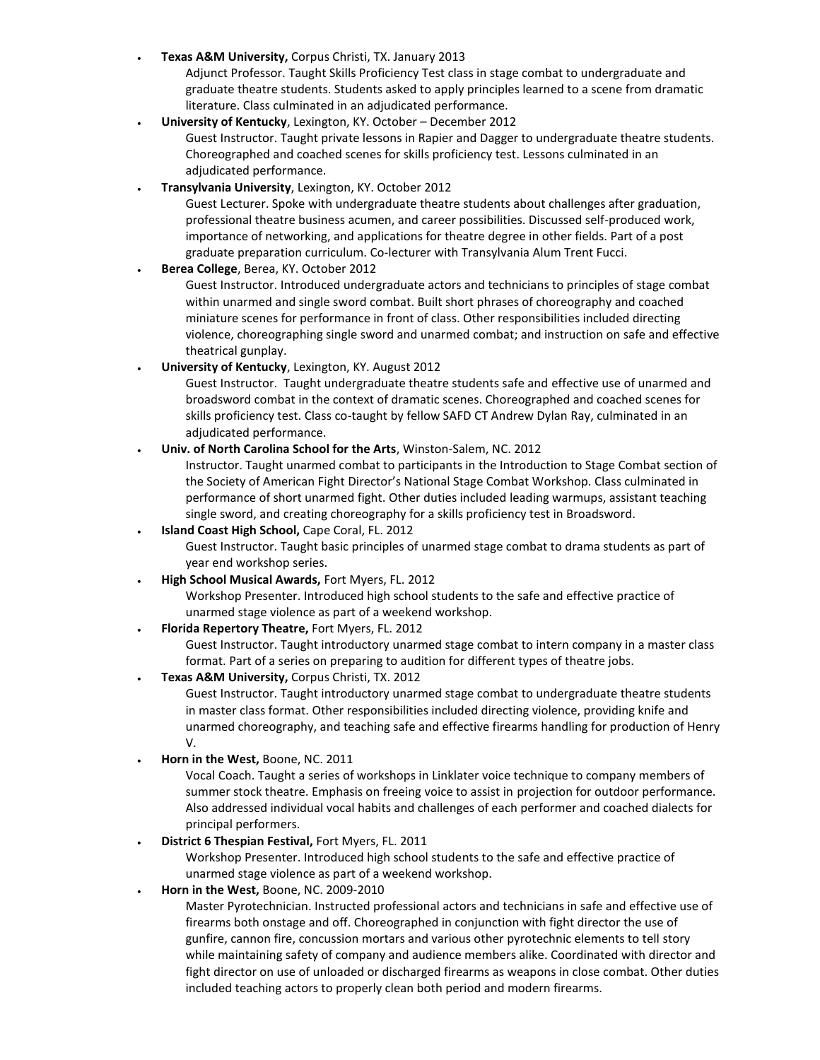**Texas A&M University,** Corpus Christi, TX. January 2013

Adjunct Professor. Taught Skills Proficiency Test class in stage combat to undergraduate and graduate theatre students. Students asked to apply principles learned to a scene from dramatic literature. Class culminated in an adjudicated performance.

**University of Kentucky**, Lexington, KY. October – December 2012

Guest Instructor. Taught private lessons in Rapier and Dagger to undergraduate theatre students. Choreographed and coached scenes for skills proficiency test. Lessons culminated in an adjudicated performance.

**Transylvania University**, Lexington, KY. October 2012

Guest Lecturer. Spoke with undergraduate theatre students about challenges after graduation, professional theatre business acumen, and career possibilities. Discussed self-produced work, importance of networking, and applications for theatre degree in other fields. Part of a post graduate preparation curriculum. Co-lecturer with Transylvania Alum Trent Fucci.

**Berea College**, Berea, KY. October 2012

Guest Instructor. Introduced undergraduate actors and technicians to principles of stage combat within unarmed and single sword combat. Built short phrases of choreography and coached miniature scenes for performance in front of class. Other responsibilities included directing violence, choreographing single sword and unarmed combat; and instruction on safe and effective theatrical gunplay.

**University of Kentucky**, Lexington, KY. August 2012

Guest Instructor. Taught undergraduate theatre students safe and effective use of unarmed and broadsword combat in the context of dramatic scenes. Choreographed and coached scenes for skills proficiency test. Class co-taught by fellow SAFD CT Andrew Dylan Ray, culminated in an adjudicated performance.

**Univ. of North Carolina School for the Arts**, Winston-Salem, NC. 2012

Instructor. Taught unarmed combat to participants in the Introduction to Stage Combat section of the Society of American Fight Director's National Stage Combat Workshop. Class culminated in performance of short unarmed fight. Other duties included leading warmups, assistant teaching single sword, and creating choreography for a skills proficiency test in Broadsword.

**Island Coast High School,** Cape Coral, FL. 2012

Guest Instructor. Taught basic principles of unarmed stage combat to drama students as part of year end workshop series.

**High School Musical Awards,** Fort Myers, FL. 2012

Workshop Presenter. Introduced high school students to the safe and effective practice of unarmed stage violence as part of a weekend workshop.

**Florida Repertory Theatre,** Fort Myers, FL. 2012

Guest Instructor. Taught introductory unarmed stage combat to intern company in a master class format. Part of a series on preparing to audition for different types of theatre jobs.

**Texas A&M University,** Corpus Christi, TX. 2012

Guest Instructor. Taught introductory unarmed stage combat to undergraduate theatre students in master class format. Other responsibilities included directing violence, providing knife and unarmed choreography, and teaching safe and effective firearms handling for production of Henry V.

**Horn in the West,** Boone, NC. 2011

Vocal Coach. Taught a series of workshops in Linklater voice technique to company members of summer stock theatre. Emphasis on freeing voice to assist in projection for outdoor performance. Also addressed individual vocal habits and challenges of each performer and coached dialects for principal performers.

**District 6 Thespian Festival,** Fort Myers, FL. 2011

Workshop Presenter. Introduced high school students to the safe and effective practice of unarmed stage violence as part of a weekend workshop.

**Horn in the West,** Boone, NC. 2009-2010

Master Pyrotechnician. Instructed professional actors and technicians in safe and effective use of firearms both onstage and off. Choreographed in conjunction with fight director the use of gunfire, cannon fire, concussion mortars and various other pyrotechnic elements to tell story while maintaining safety of company and audience members alike. Coordinated with director and fight director on use of unloaded or discharged firearms as weapons in close combat. Other duties included teaching actors to properly clean both period and modern firearms.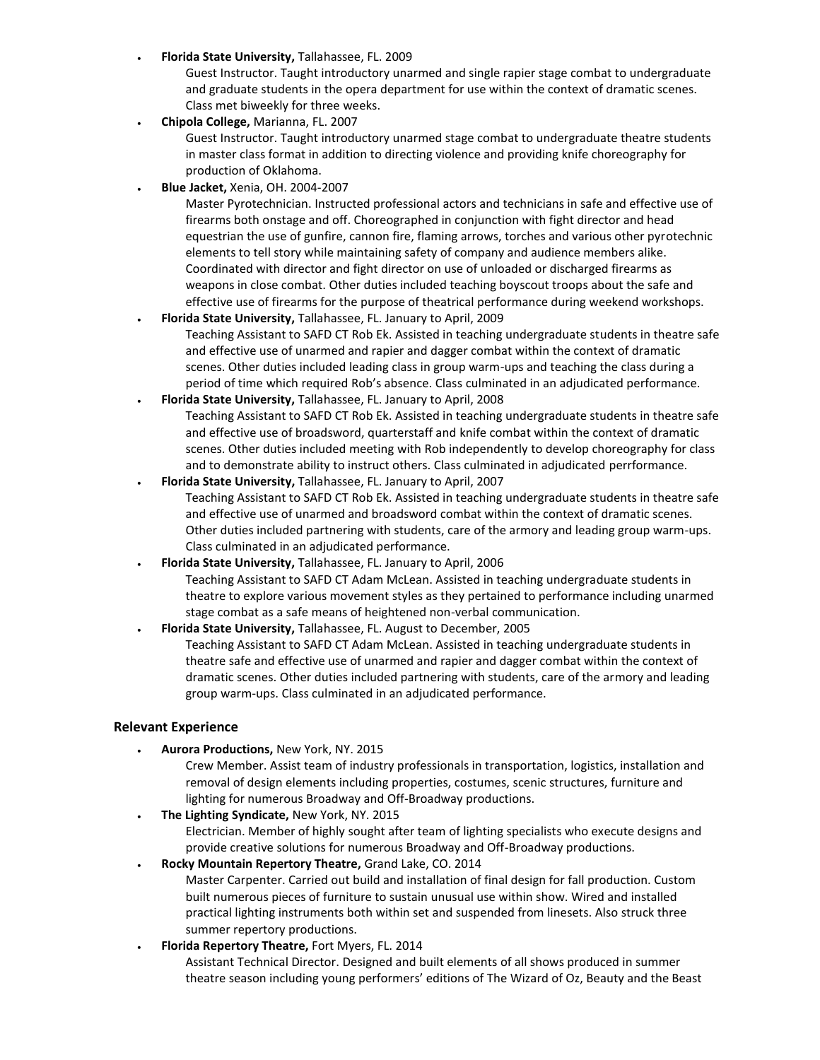**Florida State University,** Tallahassee, FL. 2009

Guest Instructor. Taught introductory unarmed and single rapier stage combat to undergraduate and graduate students in the opera department for use within the context of dramatic scenes. Class met biweekly for three weeks.

**Chipola College,** Marianna, FL. 2007

Guest Instructor. Taught introductory unarmed stage combat to undergraduate theatre students in master class format in addition to directing violence and providing knife choreography for production of Oklahoma.

**Blue Jacket,** Xenia, OH. 2004-2007

Master Pyrotechnician. Instructed professional actors and technicians in safe and effective use of firearms both onstage and off. Choreographed in conjunction with fight director and head equestrian the use of gunfire, cannon fire, flaming arrows, torches and various other pyrotechnic elements to tell story while maintaining safety of company and audience members alike. Coordinated with director and fight director on use of unloaded or discharged firearms as weapons in close combat. Other duties included teaching boyscout troops about the safe and effective use of firearms for the purpose of theatrical performance during weekend workshops.

 **Florida State University,** Tallahassee, FL. January to April, 2009 Teaching Assistant to SAFD CT Rob Ek. Assisted in teaching undergraduate students in theatre safe and effective use of unarmed and rapier and dagger combat within the context of dramatic

scenes. Other duties included leading class in group warm-ups and teaching the class during a period of time which required Rob's absence. Class culminated in an adjudicated performance.

**Florida State University,** Tallahassee, FL. January to April, 2008

Teaching Assistant to SAFD CT Rob Ek. Assisted in teaching undergraduate students in theatre safe and effective use of broadsword, quarterstaff and knife combat within the context of dramatic scenes. Other duties included meeting with Rob independently to develop choreography for class and to demonstrate ability to instruct others. Class culminated in adjudicated perrformance.

- **Florida State University,** Tallahassee, FL. January to April, 2007 Teaching Assistant to SAFD CT Rob Ek. Assisted in teaching undergraduate students in theatre safe and effective use of unarmed and broadsword combat within the context of dramatic scenes. Other duties included partnering with students, care of the armory and leading group warm-ups. Class culminated in an adjudicated performance.
- **Florida State University,** Tallahassee, FL. January to April, 2006 Teaching Assistant to SAFD CT Adam McLean. Assisted in teaching undergraduate students in theatre to explore various movement styles as they pertained to performance including unarmed stage combat as a safe means of heightened non-verbal communication.

## **Florida State University,** Tallahassee, FL. August to December, 2005 Teaching Assistant to SAFD CT Adam McLean. Assisted in teaching undergraduate students in theatre safe and effective use of unarmed and rapier and dagger combat within the context of dramatic scenes. Other duties included partnering with students, care of the armory and leading group warm-ups. Class culminated in an adjudicated performance.

#### **Relevant Experience**

- **Aurora Productions,** New York, NY. 2015
	- Crew Member. Assist team of industry professionals in transportation, logistics, installation and removal of design elements including properties, costumes, scenic structures, furniture and lighting for numerous Broadway and Off-Broadway productions.
- **The Lighting Syndicate,** New York, NY. 2015

Electrician. Member of highly sought after team of lighting specialists who execute designs and provide creative solutions for numerous Broadway and Off-Broadway productions.

**Rocky Mountain Repertory Theatre,** Grand Lake, CO. 2014

Master Carpenter. Carried out build and installation of final design for fall production. Custom built numerous pieces of furniture to sustain unusual use within show. Wired and installed practical lighting instruments both within set and suspended from linesets. Also struck three summer repertory productions.

**Florida Repertory Theatre,** Fort Myers, FL. 2014

Assistant Technical Director. Designed and built elements of all shows produced in summer theatre season including young performers' editions of The Wizard of Oz, Beauty and the Beast